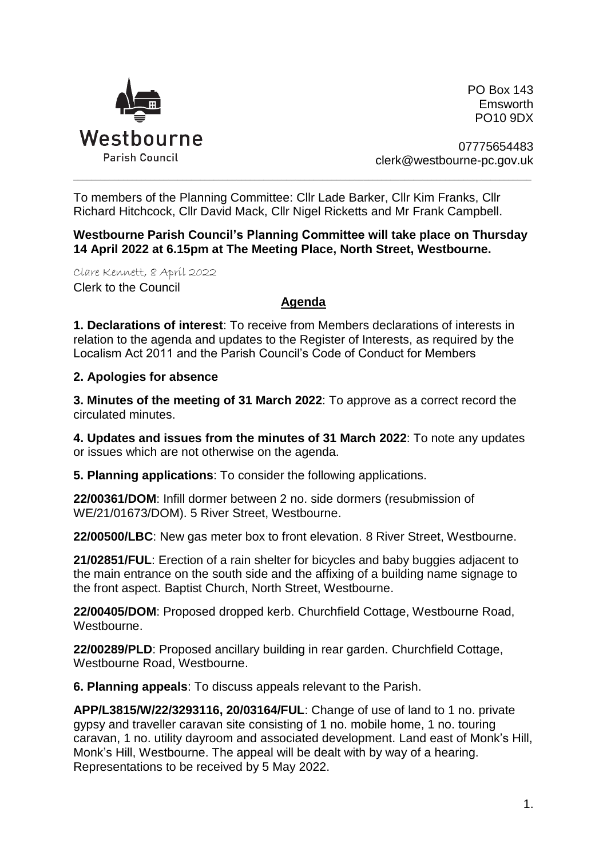

PO Box 143 Emsworth PO10 9DX

07775654483 clerk@westbourne-pc.gov.uk

To members of the Planning Committee: Cllr Lade Barker, Cllr Kim Franks, Cllr Richard Hitchcock, Cllr David Mack, Cllr Nigel Ricketts and Mr Frank Campbell.

**Westbourne Parish Council's Planning Committee will take place on Thursday 14 April 2022 at 6.15pm at The Meeting Place, North Street, Westbourne.** 

\_\_\_\_\_\_\_\_\_\_\_\_\_\_\_\_\_\_\_\_\_\_\_\_\_\_\_\_\_\_\_\_\_\_\_\_\_\_\_\_\_\_\_\_\_\_\_\_\_\_\_\_\_\_\_\_\_\_\_\_\_\_\_\_\_\_\_\_\_\_\_\_\_\_\_\_\_\_\_\_\_\_\_\_\_\_\_\_\_\_\_\_\_\_\_\_\_\_\_\_\_

Clare Kennett, 8 April 2022 Clerk to the Council

## **Agenda**

**1. Declarations of interest**: To receive from Members declarations of interests in relation to the agenda and updates to the Register of Interests, as required by the Localism Act 2011 and the Parish Council's Code of Conduct for Members

## **2. Apologies for absence**

**3. Minutes of the meeting of 31 March 2022**: To approve as a correct record the circulated minutes.

**4. Updates and issues from the minutes of 31 March 2022**: To note any updates or issues which are not otherwise on the agenda.

**5. Planning applications**: To consider the following applications.

**22/00361/DOM**: Infill dormer between 2 no. side dormers (resubmission of WE/21/01673/DOM). 5 River Street, Westbourne.

**22/00500/LBC**: New gas meter box to front elevation. 8 River Street, Westbourne.

**21/02851/FUL**: Erection of a rain shelter for bicycles and baby buggies adjacent to the main entrance on the south side and the affixing of a building name signage to the front aspect. Baptist Church, North Street, Westbourne.

**22/00405/DOM**: Proposed dropped kerb. Churchfield Cottage, Westbourne Road, Westbourne.

**22/00289/PLD**: Proposed ancillary building in rear garden. Churchfield Cottage, Westbourne Road, Westbourne.

**6. Planning appeals**: To discuss appeals relevant to the Parish.

**APP/L3815/W/22/3293116, 20/03164/FUL**: Change of use of land to 1 no. private gypsy and traveller caravan site consisting of 1 no. mobile home, 1 no. touring caravan, 1 no. utility dayroom and associated development. Land east of Monk's Hill, Monk's Hill, Westbourne. The appeal will be dealt with by way of a hearing. Representations to be received by 5 May 2022.